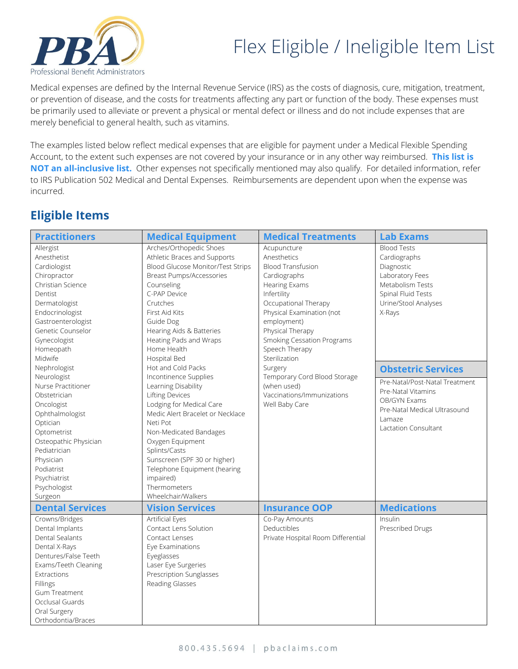

## Flex Eligible / Ineligible Item List

Medical expenses are defined by the Internal Revenue Service (IRS) as the costs of diagnosis, cure, mitigation, treatment, or prevention of disease, and the costs for treatments affecting any part or function of the body. These expenses must be primarily used to alleviate or prevent a physical or mental defect or illness and do not include expenses that are merely beneficial to general health, such as vitamins.

The examples listed below reflect medical expenses that are eligible for payment under a Medical Flexible Spending Account, to the extent such expenses are not covered by your insurance or in any other way reimbursed. **This list is NOT an all-inclusive list.** Other expenses not specifically mentioned may also qualify. For detailed information, refer to IRS Publication 502 Medical and Dental Expenses. Reimbursements are dependent upon when the expense was incurred.

## **Eligible Items**

| <b>Practitioners</b>                                                                                                                                                                                                         | <b>Medical Equipment</b>                                                                                                                                                                                                                                                                                                      | <b>Medical Treatments</b>                                                                   | <b>Lab Exams</b>                                                                                                                              |
|------------------------------------------------------------------------------------------------------------------------------------------------------------------------------------------------------------------------------|-------------------------------------------------------------------------------------------------------------------------------------------------------------------------------------------------------------------------------------------------------------------------------------------------------------------------------|---------------------------------------------------------------------------------------------|-----------------------------------------------------------------------------------------------------------------------------------------------|
| Allergist                                                                                                                                                                                                                    | Arches/Orthopedic Shoes                                                                                                                                                                                                                                                                                                       | Acupuncture                                                                                 | <b>Blood Tests</b>                                                                                                                            |
| Anesthetist                                                                                                                                                                                                                  | Athletic Braces and Supports                                                                                                                                                                                                                                                                                                  | Anesthetics                                                                                 | Cardiographs                                                                                                                                  |
| Cardiologist                                                                                                                                                                                                                 | Blood Glucose Monitor/Test Strips                                                                                                                                                                                                                                                                                             | <b>Blood Transfusion</b>                                                                    | Diagnostic                                                                                                                                    |
| Chiropractor                                                                                                                                                                                                                 | Breast Pumps/Accessories                                                                                                                                                                                                                                                                                                      | Cardiographs                                                                                | Laboratory Fees                                                                                                                               |
| Christian Science                                                                                                                                                                                                            | Counseling                                                                                                                                                                                                                                                                                                                    | <b>Hearing Exams</b>                                                                        | Metabolism Tests                                                                                                                              |
| Dentist                                                                                                                                                                                                                      | C-PAP Device                                                                                                                                                                                                                                                                                                                  | Infertility                                                                                 | Spinal Fluid Tests                                                                                                                            |
| Dermatologist                                                                                                                                                                                                                | Crutches                                                                                                                                                                                                                                                                                                                      | Occupational Therapy                                                                        | Urine/Stool Analyses                                                                                                                          |
| Endocrinologist                                                                                                                                                                                                              | First Aid Kits                                                                                                                                                                                                                                                                                                                | Physical Examination (not                                                                   | X-Rays                                                                                                                                        |
| Gastroenterologist                                                                                                                                                                                                           | Guide Dog                                                                                                                                                                                                                                                                                                                     | employment)                                                                                 | <b>Obstetric Services</b>                                                                                                                     |
| Genetic Counselor                                                                                                                                                                                                            | Hearing Aids & Batteries                                                                                                                                                                                                                                                                                                      | Physical Therapy                                                                            |                                                                                                                                               |
| Gynecologist                                                                                                                                                                                                                 | Heating Pads and Wraps                                                                                                                                                                                                                                                                                                        | <b>Smoking Cessation Programs</b>                                                           |                                                                                                                                               |
| Homeopath                                                                                                                                                                                                                    | Home Health                                                                                                                                                                                                                                                                                                                   | Speech Therapy                                                                              |                                                                                                                                               |
| Midwife                                                                                                                                                                                                                      | Hospital Bed                                                                                                                                                                                                                                                                                                                  | Sterilization                                                                               |                                                                                                                                               |
| Nephrologist                                                                                                                                                                                                                 | Hot and Cold Packs                                                                                                                                                                                                                                                                                                            | Surgery                                                                                     |                                                                                                                                               |
| Neurologist<br>Nurse Practitioner<br>Obstetrician<br>Oncologist<br>Ophthalmologist<br>Optician<br>Optometrist<br>Osteopathic Physician<br>Pediatrician<br>Physician<br>Podiatrist<br>Psychiatrist<br>Psychologist<br>Surgeon | Incontinence Supplies<br>Learning Disability<br>Lifting Devices<br>Lodging for Medical Care<br>Medic Alert Bracelet or Necklace<br>Neti Pot<br>Non-Medicated Bandages<br>Oxygen Equipment<br>Splints/Casts<br>Sunscreen (SPF 30 or higher)<br>Telephone Equipment (hearing<br>impaired)<br>Thermometers<br>Wheelchair/Walkers | Temporary Cord Blood Storage<br>(when used)<br>Vaccinations/Immunizations<br>Well Baby Care | Pre-Natal/Post-Natal Treatment<br>Pre-Natal Vitamins<br>OB/GYN Exams<br>Pre-Natal Medical Ultrasound<br>Lamaze<br><b>Lactation Consultant</b> |
| <b>Dental Services</b>                                                                                                                                                                                                       | <b>Vision Services</b>                                                                                                                                                                                                                                                                                                        | <b>Insurance OOP</b>                                                                        | <b>Medications</b>                                                                                                                            |
| Crowns/Bridges                                                                                                                                                                                                               | Artificial Eyes                                                                                                                                                                                                                                                                                                               | Co-Pay Amounts                                                                              | Insulin                                                                                                                                       |
| Dental Implants<br><b>Dental Sealants</b><br>Dental X-Rays<br>Dentures/False Teeth<br>Exams/Teeth Cleaning<br>Extractions<br>Fillings<br>Gum Treatment<br>Occlusal Guards<br>Oral Surgery<br>Orthodontia/Braces              | Contact Lens Solution<br>Contact Lenses<br>Eye Examinations<br>Eyeglasses<br>Laser Eye Surgeries<br><b>Prescription Sunglasses</b><br>Reading Glasses                                                                                                                                                                         | Deductibles<br>Private Hospital Room Differential                                           | Prescribed Drugs                                                                                                                              |